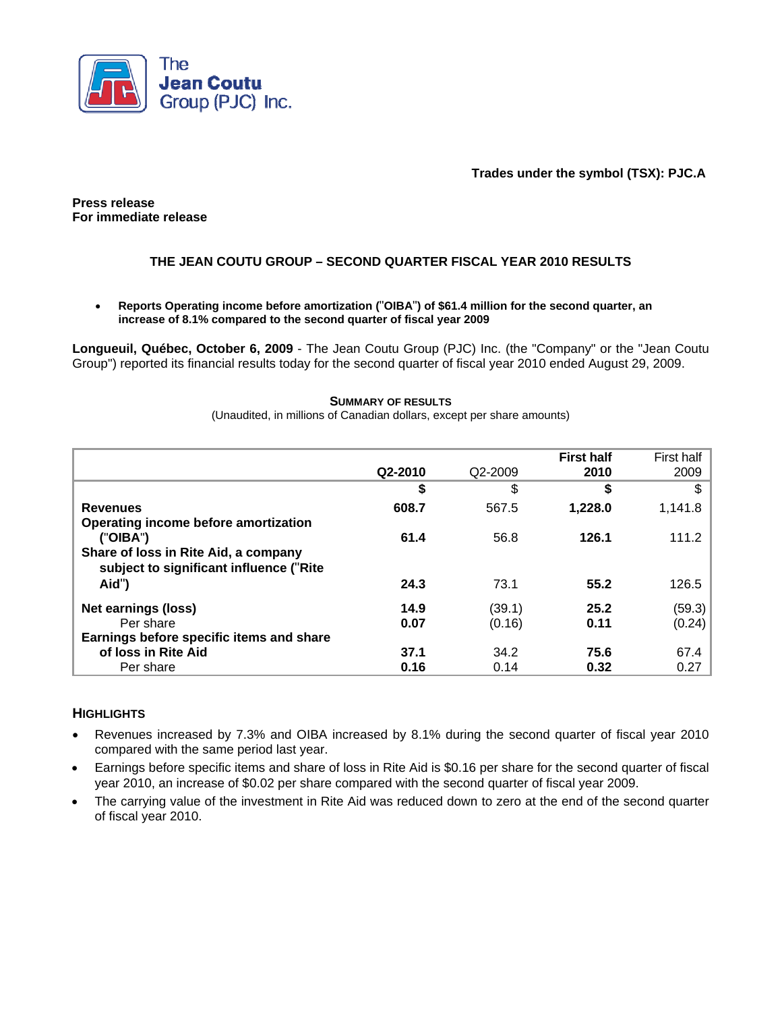

### **Trades under the symbol (TSX): PJC.A**

**Press release For immediate release** 

### **THE JEAN COUTU GROUP – SECOND QUARTER FISCAL YEAR 2010 RESULTS**

• **Reports Operating income before amortization (**"**OIBA**"**) of \$61.4 million for the second quarter, an increase of 8.1% compared to the second quarter of fiscal year 2009** 

**Longueuil, Québec, October 6, 2009** - The Jean Coutu Group (PJC) Inc. (the "Company" or the "Jean Coutu Group") reported its financial results today for the second quarter of fiscal year 2010 ended August 29, 2009.

#### **SUMMARY OF RESULTS**

(Unaudited, in millions of Canadian dollars, except per share amounts)

|                                          |         |         | <b>First half</b> | First half |
|------------------------------------------|---------|---------|-------------------|------------|
|                                          | Q2-2010 | Q2-2009 | 2010              | 2009       |
|                                          | \$      | \$      | \$                |            |
| <b>Revenues</b>                          | 608.7   | 567.5   | 1,228.0           | 1,141.8    |
| Operating income before amortization     |         |         |                   |            |
| ("OIBA")                                 | 61.4    | 56.8    | 126.1             | 111.2      |
| Share of loss in Rite Aid, a company     |         |         |                   |            |
| subject to significant influence ("Rite  |         |         |                   |            |
| Aid")                                    | 24.3    | 73.1    | 55.2              | 126.5      |
| Net earnings (loss)                      | 14.9    | (39.1)  | 25.2              | (59.3)     |
| Per share                                | 0.07    | (0.16)  | 0.11              | (0.24)     |
| Earnings before specific items and share |         |         |                   |            |
| of loss in Rite Aid                      | 37.1    | 34.2    | 75.6              | 67.4       |
| Per share                                | 0.16    | 0.14    | 0.32              | 0.27       |

### **HIGHLIGHTS**

- Revenues increased by 7.3% and OIBA increased by 8.1% during the second quarter of fiscal year 2010 compared with the same period last year.
- Earnings before specific items and share of loss in Rite Aid is \$0.16 per share for the second quarter of fiscal year 2010, an increase of \$0.02 per share compared with the second quarter of fiscal year 2009.
- The carrying value of the investment in Rite Aid was reduced down to zero at the end of the second quarter of fiscal year 2010.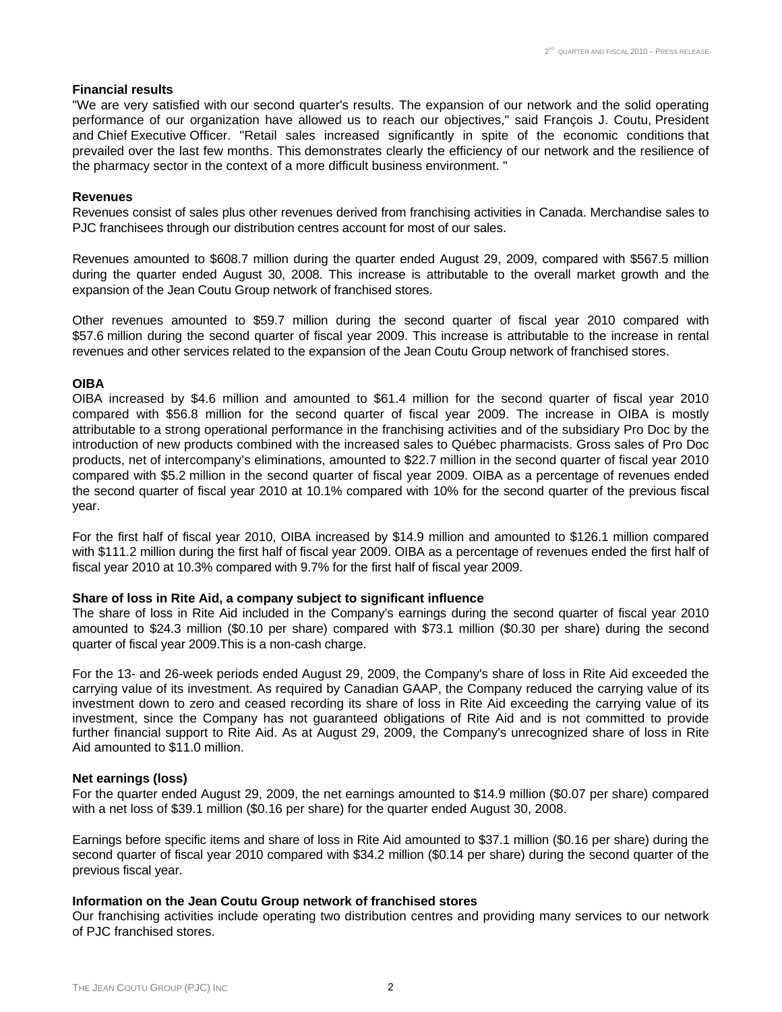#### **Financial results**

"We are very satisfied with our second quarter's results. The expansion of our network and the solid operating performance of our organization have allowed us to reach our objectives," said François J. Coutu, President and Chief Executive Officer. "Retail sales increased significantly in spite of the economic conditions that prevailed over the last few months. This demonstrates clearly the efficiency of our network and the resilience of the pharmacy sector in the context of a more difficult business environment. "

#### **Revenues**

Revenues consist of sales plus other revenues derived from franchising activities in Canada. Merchandise sales to PJC franchisees through our distribution centres account for most of our sales.

Revenues amounted to \$608.7 million during the quarter ended August 29, 2009, compared with \$567.5 million during the quarter ended August 30, 2008. This increase is attributable to the overall market growth and the expansion of the Jean Coutu Group network of franchised stores.

Other revenues amounted to \$59.7 million during the second quarter of fiscal year 2010 compared with \$57.6 million during the second quarter of fiscal year 2009. This increase is attributable to the increase in rental revenues and other services related to the expansion of the Jean Coutu Group network of franchised stores.

#### **OIBA**

OIBA increased by \$4.6 million and amounted to \$61.4 million for the second quarter of fiscal year 2010 compared with \$56.8 million for the second quarter of fiscal year 2009. The increase in OIBA is mostly attributable to a strong operational performance in the franchising activities and of the subsidiary Pro Doc by the introduction of new products combined with the increased sales to Québec pharmacists. Gross sales of Pro Doc products, net of intercompany's eliminations, amounted to \$22.7 million in the second quarter of fiscal year 2010 compared with \$5.2 million in the second quarter of fiscal year 2009. OIBA as a percentage of revenues ended the second quarter of fiscal year 2010 at 10.1% compared with 10% for the second quarter of the previous fiscal year.

For the first half of fiscal year 2010, OIBA increased by \$14.9 million and amounted to \$126.1 million compared with \$111.2 million during the first half of fiscal year 2009. OIBA as a percentage of revenues ended the first half of fiscal year 2010 at 10.3% compared with 9.7% for the first half of fiscal year 2009.

#### **Share of loss in Rite Aid, a company subject to significant influence**

The share of loss in Rite Aid included in the Company's earnings during the second quarter of fiscal year 2010 amounted to \$24.3 million (\$0.10 per share) compared with \$73.1 million (\$0.30 per share) during the second quarter of fiscal year 2009.This is a non-cash charge.

For the 13- and 26-week periods ended August 29, 2009, the Company's share of loss in Rite Aid exceeded the carrying value of its investment. As required by Canadian GAAP, the Company reduced the carrying value of its investment down to zero and ceased recording its share of loss in Rite Aid exceeding the carrying value of its investment, since the Company has not guaranteed obligations of Rite Aid and is not committed to provide further financial support to Rite Aid. As at August 29, 2009, the Company's unrecognized share of loss in Rite Aid amounted to \$11.0 million.

#### **Net earnings (loss)**

For the quarter ended August 29, 2009, the net earnings amounted to \$14.9 million (\$0.07 per share) compared with a net loss of \$39.1 million (\$0.16 per share) for the quarter ended August 30, 2008.

Earnings before specific items and share of loss in Rite Aid amounted to \$37.1 million (\$0.16 per share) during the second quarter of fiscal year 2010 compared with \$34.2 million (\$0.14 per share) during the second quarter of the previous fiscal year.

#### **Information on the Jean Coutu Group network of franchised stores**

Our franchising activities include operating two distribution centres and providing many services to our network of PJC franchised stores.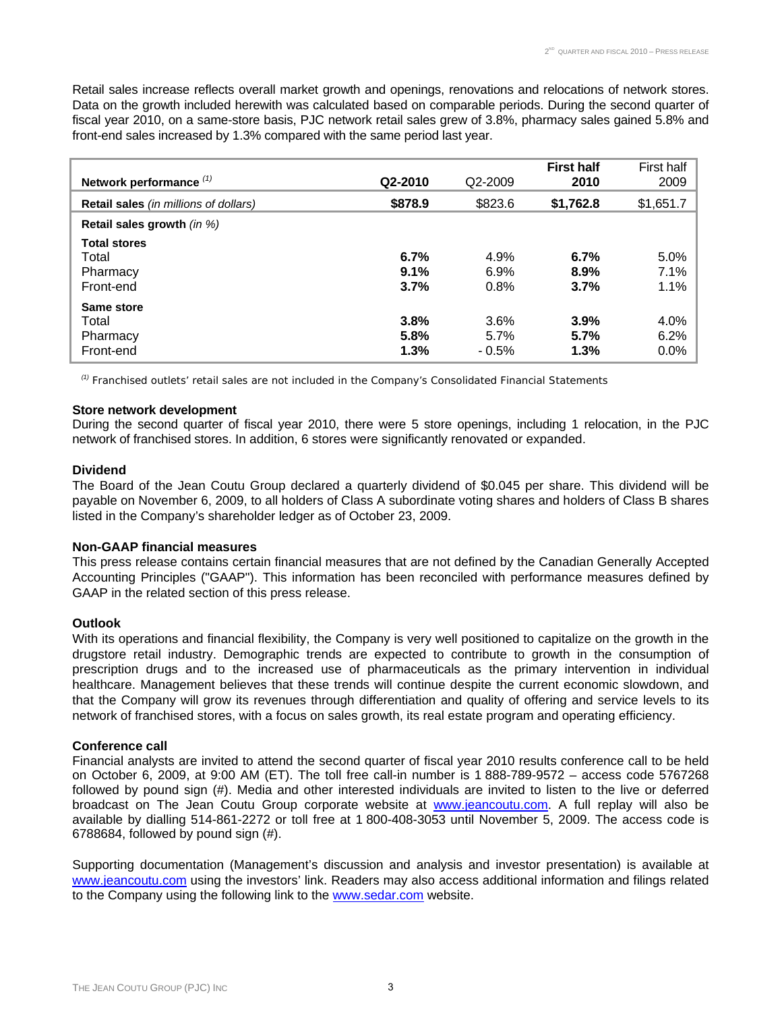Retail sales increase reflects overall market growth and openings, renovations and relocations of network stores. Data on the growth included herewith was calculated based on comparable periods. During the second quarter of fiscal year 2010, on a same-store basis, PJC network retail sales grew of 3.8%, pharmacy sales gained 5.8% and front-end sales increased by 1.3% compared with the same period last year.

| Network performance <sup>(1)</sup>                    | Q2-2010              | Q <sub>2</sub> -2009    | <b>First half</b><br>2010 | First half<br>2009      |
|-------------------------------------------------------|----------------------|-------------------------|---------------------------|-------------------------|
| Retail sales (in millions of dollars)                 | \$878.9              | \$823.6                 | \$1,762.8                 | \$1,651.7               |
| Retail sales growth (in %)                            |                      |                         |                           |                         |
| <b>Total stores</b><br>Total<br>Pharmacy<br>Front-end | 6.7%<br>9.1%<br>3.7% | 4.9%<br>6.9%<br>0.8%    | 6.7%<br>8.9%<br>3.7%      | 5.0%<br>7.1%<br>1.1%    |
| Same store<br>Total<br>Pharmacy<br>Front-end          | 3.8%<br>5.8%<br>1.3% | 3.6%<br>5.7%<br>$-0.5%$ | 3.9%<br>5.7%<br>1.3%      | 4.0%<br>6.2%<br>$0.0\%$ |

*(1) Franchised outlets' retail sales are not included in the Company's Consolidated Financial Statements*

#### **Store network development**

During the second quarter of fiscal year 2010, there were 5 store openings, including 1 relocation, in the PJC network of franchised stores. In addition, 6 stores were significantly renovated or expanded.

#### **Dividend**

The Board of the Jean Coutu Group declared a quarterly dividend of \$0.045 per share. This dividend will be payable on November 6, 2009, to all holders of Class A subordinate voting shares and holders of Class B shares listed in the Company's shareholder ledger as of October 23, 2009.

#### **Non-GAAP financial measures**

This press release contains certain financial measures that are not defined by the Canadian Generally Accepted Accounting Principles ("GAAP"). This information has been reconciled with performance measures defined by GAAP in the related section of this press release.

#### **Outlook**

With its operations and financial flexibility, the Company is very well positioned to capitalize on the growth in the drugstore retail industry. Demographic trends are expected to contribute to growth in the consumption of prescription drugs and to the increased use of pharmaceuticals as the primary intervention in individual healthcare. Management believes that these trends will continue despite the current economic slowdown, and that the Company will grow its revenues through differentiation and quality of offering and service levels to its network of franchised stores, with a focus on sales growth, its real estate program and operating efficiency.

#### **Conference call**

Financial analysts are invited to attend the second quarter of fiscal year 2010 results conference call to be held on October 6, 2009, at 9:00 AM (ET). The toll free call-in number is 1 888-789-9572 – access code 5767268 followed by pound sign (#). Media and other interested individuals are invited to listen to the live or deferred broadcast on The Jean Coutu Group corporate website at www.jeancoutu.com. A full replay will also be available by dialling 514-861-2272 or toll free at 1 800-408-3053 until November 5, 2009. The access code is 6788684, followed by pound sign (#).

Supporting documentation (Management's discussion and analysis and investor presentation) is available at www.jeancoutu.com using the investors' link. Readers may also access additional information and filings related to the Company using the following link to the www.sedar.com website.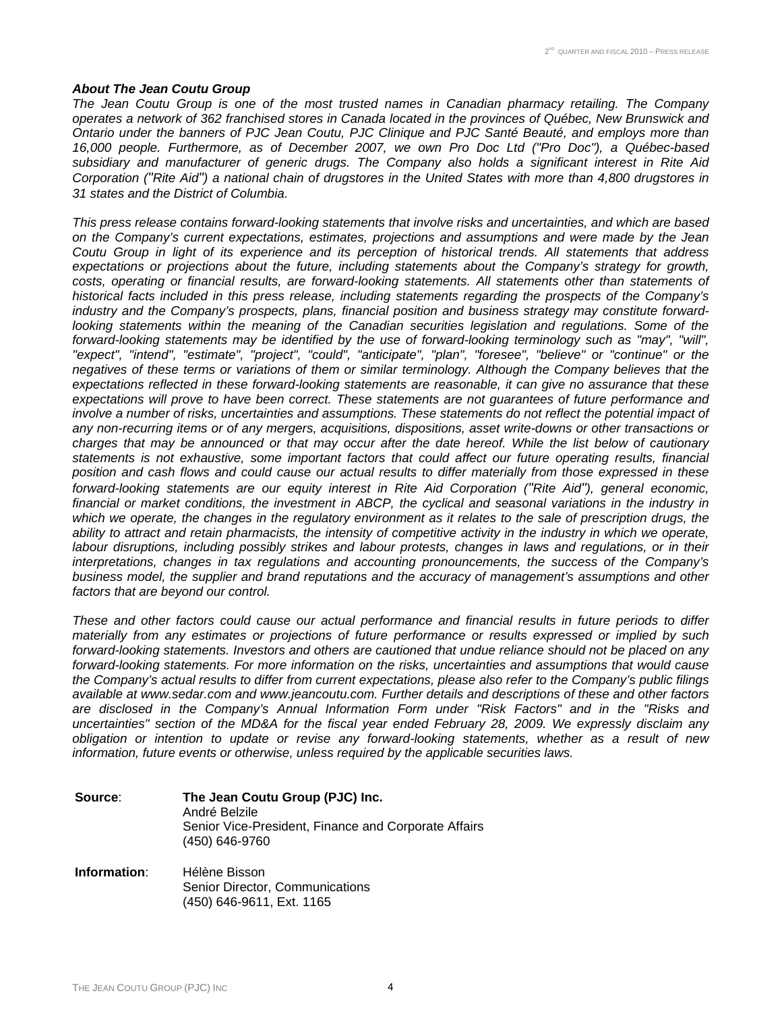#### *About The Jean Coutu Group*

*The Jean Coutu Group is one of the most trusted names in Canadian pharmacy retailing. The Company operates a network of 362 franchised stores in Canada located in the provinces of Québec, New Brunswick and Ontario under the banners of PJC Jean Coutu, PJC Clinique and PJC Santé Beauté, and employs more than 16,000 people. Furthermore, as of December 2007, we own Pro Doc Ltd ("Pro Doc"), a Québec-based subsidiary and manufacturer of generic drugs. The Company also holds a significant interest in Rite Aid Corporation ("Rite Aid") a national chain of drugstores in the United States with more than 4,800 drugstores in 31 states and the District of Columbia.* 

*This press release contains forward-looking statements that involve risks and uncertainties, and which are based on the Company's current expectations, estimates, projections and assumptions and were made by the Jean Coutu Group in light of its experience and its perception of historical trends. All statements that address expectations or projections about the future, including statements about the Company's strategy for growth,*  costs, operating or financial results, are forward-looking statements. All statements other than statements of *historical facts included in this press release, including statements regarding the prospects of the Company's industry and the Company's prospects, plans, financial position and business strategy may constitute forward*looking statements within the meaning of the Canadian securities legislation and regulations. Some of the *forward-looking statements may be identified by the use of forward-looking terminology such as "may", "will", "expect", "intend", "estimate", "project", "could", "anticipate", "plan", "foresee", "believe" or "continue" or the negatives of these terms or variations of them or similar terminology. Although the Company believes that the expectations reflected in these forward-looking statements are reasonable, it can give no assurance that these expectations will prove to have been correct. These statements are not guarantees of future performance and involve a number of risks, uncertainties and assumptions. These statements do not reflect the potential impact of any non-recurring items or of any mergers, acquisitions, dispositions, asset write-downs or other transactions or charges that may be announced or that may occur after the date hereof. While the list below of cautionary statements is not exhaustive, some important factors that could affect our future operating results, financial position and cash flows and could cause our actual results to differ materially from those expressed in these forward-looking statements are our equity interest in Rite Aid Corporation ("Rite Aid"), general economic,*  financial or market conditions, the investment in ABCP, the cyclical and seasonal variations in the industry in which we operate, the changes in the regulatory environment as it relates to the sale of prescription drugs, the ability to attract and retain pharmacists, the intensity of competitive activity in the industry in which we operate, labour disruptions, including possibly strikes and labour protests, changes in laws and regulations, or in their *interpretations, changes in tax regulations and accounting pronouncements, the success of the Company's business model, the supplier and brand reputations and the accuracy of management's assumptions and other factors that are beyond our control.* 

*These and other factors could cause our actual performance and financial results in future periods to differ materially from any estimates or projections of future performance or results expressed or implied by such forward-looking statements. Investors and others are cautioned that undue reliance should not be placed on any forward-looking statements. For more information on the risks, uncertainties and assumptions that would cause the Company's actual results to differ from current expectations, please also refer to the Company's public filings available at www.sedar.com and www.jeancoutu.com. Further details and descriptions of these and other factors*  are disclosed in the Company's Annual Information Form under "Risk Factors" and in the "Risks and *uncertainties" section of the MD&A for the fiscal year ended February 28, 2009. We expressly disclaim any obligation or intention to update or revise any forward-looking statements, whether as a result of new information, future events or otherwise, unless required by the applicable securities laws.* 

- **Source**: **The Jean Coutu Group (PJC) Inc.** André Belzile Senior Vice-President, Finance and Corporate Affairs (450) 646-9760
- **Information**: Hélène Bisson Senior Director, Communications (450) 646-9611, Ext. 1165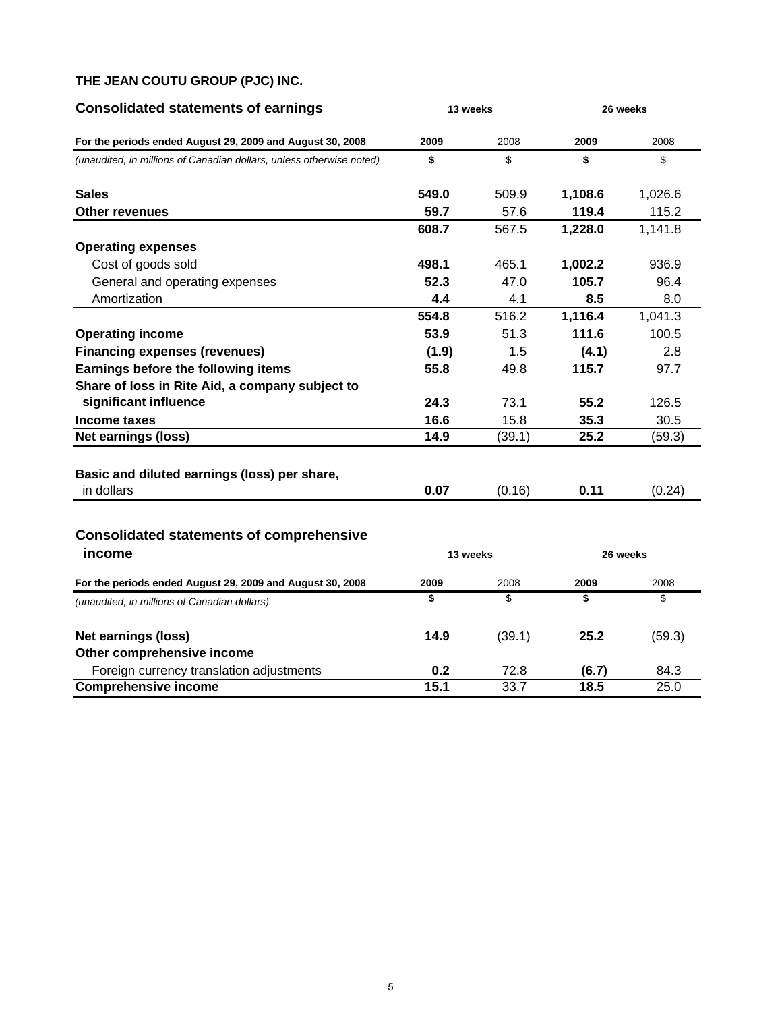| <b>Consolidated statements of earnings</b>                           | 13 weeks |          | 26 weeks          |         |
|----------------------------------------------------------------------|----------|----------|-------------------|---------|
| For the periods ended August 29, 2009 and August 30, 2008            | 2009     | 2008     | 2009              | 2008    |
| (unaudited, in millions of Canadian dollars, unless otherwise noted) | \$       | \$       | \$                | \$      |
| <b>Sales</b>                                                         | 549.0    | 509.9    | 1,108.6           | 1,026.6 |
| <b>Other revenues</b>                                                | 59.7     | 57.6     | 119.4             | 115.2   |
|                                                                      | 608.7    | 567.5    | 1,228.0           | 1,141.8 |
| <b>Operating expenses</b>                                            |          |          |                   |         |
| Cost of goods sold                                                   | 498.1    | 465.1    | 1,002.2           | 936.9   |
| General and operating expenses                                       | 52.3     | 47.0     | 105.7             | 96.4    |
| Amortization                                                         | 4.4      | 4.1      | 8.5               | 8.0     |
|                                                                      | 554.8    | 516.2    | 1,116.4           | 1,041.3 |
| <b>Operating income</b>                                              | 53.9     | 51.3     | 111.6             | 100.5   |
| <b>Financing expenses (revenues)</b>                                 | (1.9)    | 1.5      | (4.1)             | 2.8     |
| Earnings before the following items                                  | 55.8     | 49.8     | 115.7             | 97.7    |
| Share of loss in Rite Aid, a company subject to                      |          |          |                   |         |
| significant influence                                                | 24.3     | 73.1     | 55.2              | 126.5   |
| <b>Income taxes</b>                                                  | 16.6     | 15.8     | 35.3              | 30.5    |
| <b>Net earnings (loss)</b>                                           | 14.9     | (39.1)   | 25.2              | (59.3)  |
|                                                                      |          |          |                   |         |
| Basic and diluted earnings (loss) per share,<br>in dollars           | 0.07     | (0.16)   | 0.11              | (0.24)  |
|                                                                      |          |          |                   |         |
| <b>Consolidated statements of comprehensive</b>                      |          |          |                   |         |
| income                                                               |          | 13 weeks | 26 weeks          |         |
|                                                                      |          |          |                   |         |
| For the periods ended August 29, 2009 and August 30, 2008            | 2009     | 2008     | 2009              | 2008    |
| (unaudited, in millions of Canadian dollars)                         | \$       | \$       | \$                | \$      |
| <b>Net earnings (loss)</b>                                           | 14.9     | (39.1)   | 25.2              | (59.3)  |
| Other comprehensive income                                           |          |          |                   |         |
| Foreign currency translation adjustments                             | 0.2      | 72.8     | (6.7)             | 84.3    |
| <b>Comprehensive income</b>                                          | 15.1     | 33.7     | $18.\overline{5}$ | 25.0    |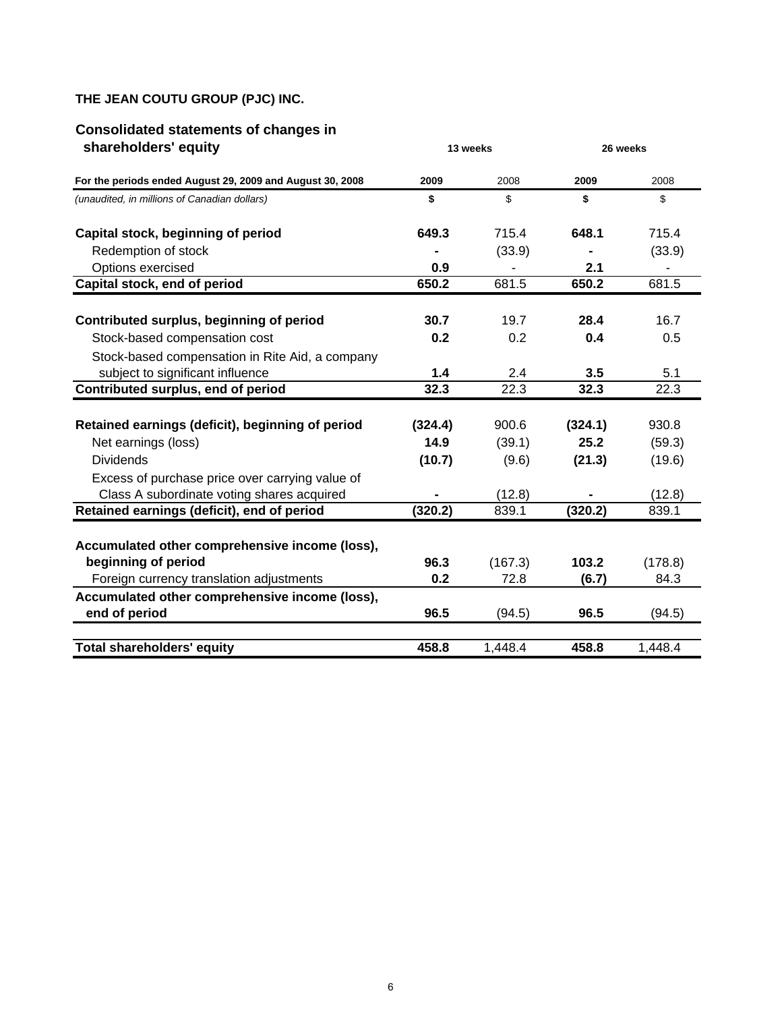## **Consolidated statements of changes in**

| shareholders' equity                                      | 13 weeks |         | 26 weeks |         |
|-----------------------------------------------------------|----------|---------|----------|---------|
| For the periods ended August 29, 2009 and August 30, 2008 | 2009     | 2008    | 2009     | 2008    |
| (unaudited, in millions of Canadian dollars)              | \$       | \$      | \$       | \$      |
| Capital stock, beginning of period                        | 649.3    | 715.4   | 648.1    | 715.4   |
| Redemption of stock                                       |          | (33.9)  |          | (33.9)  |
| Options exercised                                         | 0.9      |         | 2.1      |         |
| Capital stock, end of period                              | 650.2    | 681.5   | 650.2    | 681.5   |
| Contributed surplus, beginning of period                  | 30.7     | 19.7    | 28.4     | 16.7    |
| Stock-based compensation cost                             | 0.2      | 0.2     | 0.4      | 0.5     |
| Stock-based compensation in Rite Aid, a company           |          |         |          |         |
| subject to significant influence                          | 1.4      | 2.4     | 3.5      | 5.1     |
| Contributed surplus, end of period                        | 32.3     | 22.3    | 32.3     | 22.3    |
|                                                           |          |         |          |         |
| Retained earnings (deficit), beginning of period          | (324.4)  | 900.6   | (324.1)  | 930.8   |
| Net earnings (loss)                                       | 14.9     | (39.1)  | 25.2     | (59.3)  |
| <b>Dividends</b>                                          | (10.7)   | (9.6)   | (21.3)   | (19.6)  |
| Excess of purchase price over carrying value of           |          |         |          |         |
| Class A subordinate voting shares acquired                |          | (12.8)  |          | (12.8)  |
| Retained earnings (deficit), end of period                | (320.2)  | 839.1   | (320.2)  | 839.1   |
| Accumulated other comprehensive income (loss),            |          |         |          |         |
| beginning of period                                       | 96.3     | (167.3) | 103.2    | (178.8) |
| Foreign currency translation adjustments                  | 0.2      | 72.8    | (6.7)    | 84.3    |
| Accumulated other comprehensive income (loss),            |          |         |          |         |
| end of period                                             | 96.5     | (94.5)  | 96.5     | (94.5)  |
| <b>Total shareholders' equity</b>                         | 458.8    | 1,448.4 | 458.8    | 1,448.4 |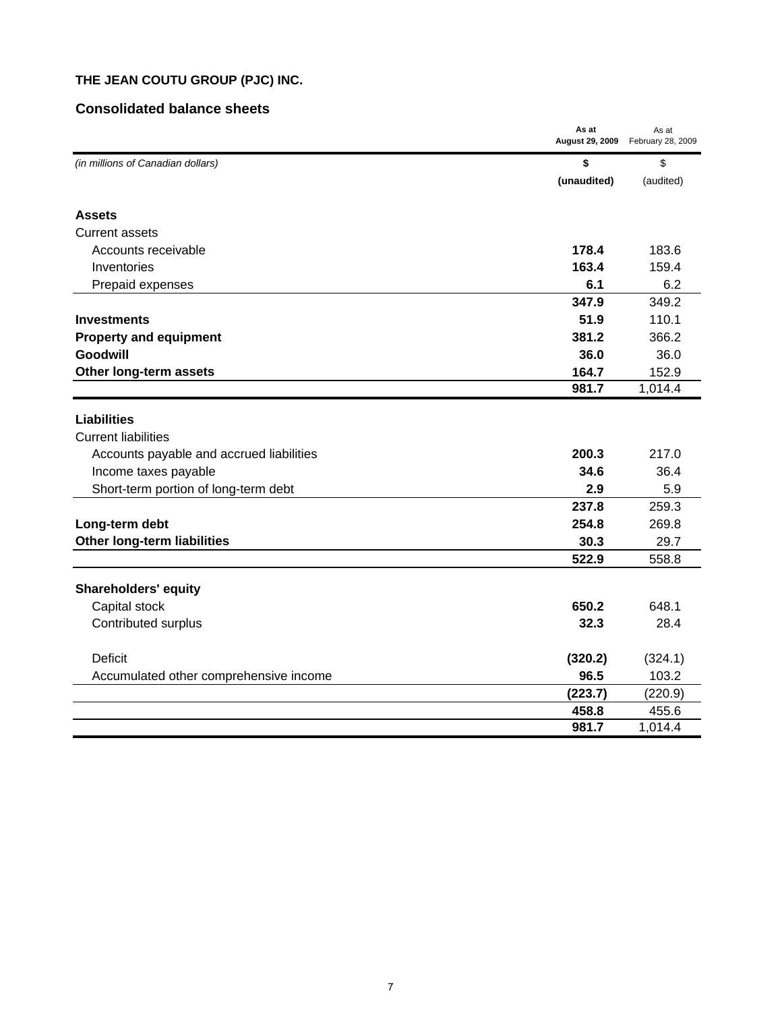## **Consolidated balance sheets**

|                                          | As at       | As at<br>August 29, 2009   February 28, 2009 |
|------------------------------------------|-------------|----------------------------------------------|
| (in millions of Canadian dollars)        | \$          | \$                                           |
|                                          | (unaudited) | (audited)                                    |
| <b>Assets</b>                            |             |                                              |
| <b>Current assets</b>                    |             |                                              |
| Accounts receivable                      | 178.4       | 183.6                                        |
| Inventories                              | 163.4       | 159.4                                        |
| Prepaid expenses                         | 6.1         | 6.2                                          |
|                                          | 347.9       | 349.2                                        |
| <b>Investments</b>                       | 51.9        | 110.1                                        |
| <b>Property and equipment</b>            | 381.2       | 366.2                                        |
| Goodwill                                 | 36.0        | 36.0                                         |
| Other long-term assets                   | 164.7       | 152.9                                        |
|                                          | 981.7       | 1,014.4                                      |
| <b>Liabilities</b>                       |             |                                              |
| <b>Current liabilities</b>               |             |                                              |
| Accounts payable and accrued liabilities | 200.3       | 217.0                                        |
| Income taxes payable                     | 34.6        | 36.4                                         |
| Short-term portion of long-term debt     | 2.9         | 5.9                                          |
|                                          | 237.8       | 259.3                                        |
| Long-term debt                           | 254.8       | 269.8                                        |
| <b>Other long-term liabilities</b>       | 30.3        | 29.7                                         |
|                                          | 522.9       | 558.8                                        |
| <b>Shareholders' equity</b>              |             |                                              |
| Capital stock                            | 650.2       | 648.1                                        |
| <b>Contributed surplus</b>               | 32.3        | 28.4                                         |
|                                          |             |                                              |
| <b>Deficit</b>                           | (320.2)     | (324.1)                                      |
| Accumulated other comprehensive income   | 96.5        | 103.2                                        |
|                                          | (223.7)     | (220.9)                                      |
|                                          | 458.8       | 455.6                                        |
|                                          | 981.7       | 1,014.4                                      |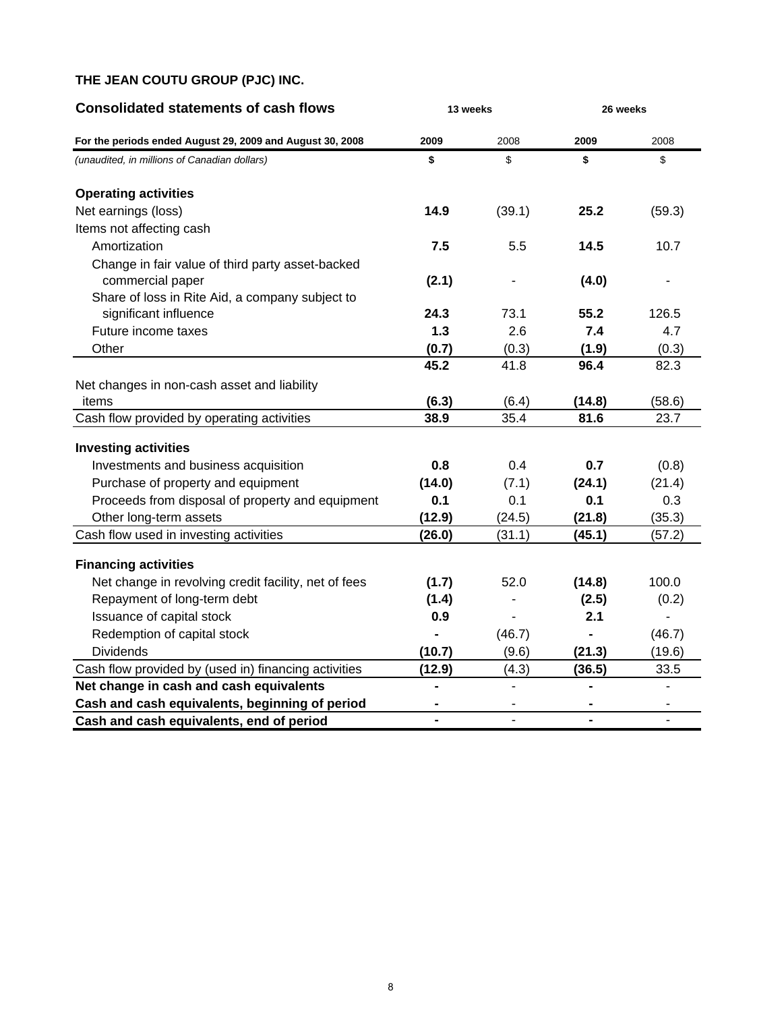| <b>Consolidated statements of cash flows</b>              | 13 weeks       |        | 26 weeks                     |        |
|-----------------------------------------------------------|----------------|--------|------------------------------|--------|
| For the periods ended August 29, 2009 and August 30, 2008 | 2009           | 2008   | 2009                         | 2008   |
| (unaudited, in millions of Canadian dollars)              | \$             | \$     | \$                           | \$     |
| <b>Operating activities</b>                               |                |        |                              |        |
| Net earnings (loss)                                       | 14.9           | (39.1) | 25.2                         | (59.3) |
| Items not affecting cash                                  |                |        |                              |        |
| Amortization                                              | 7.5            | 5.5    | 14.5                         | 10.7   |
| Change in fair value of third party asset-backed          |                |        |                              |        |
| commercial paper                                          | (2.1)          |        | (4.0)                        |        |
| Share of loss in Rite Aid, a company subject to           |                |        |                              |        |
| significant influence                                     | 24.3           | 73.1   | 55.2                         | 126.5  |
| Future income taxes                                       | 1.3            | 2.6    | 7.4                          | 4.7    |
| Other                                                     | (0.7)          | (0.3)  | (1.9)                        | (0.3)  |
|                                                           | 45.2           | 41.8   | 96.4                         | 82.3   |
| Net changes in non-cash asset and liability               |                |        |                              |        |
| items                                                     | (6.3)          | (6.4)  | (14.8)                       | (58.6) |
| Cash flow provided by operating activities                | 38.9           | 35.4   | 81.6                         | 23.7   |
| <b>Investing activities</b>                               |                |        |                              |        |
| Investments and business acquisition                      | 0.8            | 0.4    | 0.7                          | (0.8)  |
| Purchase of property and equipment                        | (14.0)         | (7.1)  | (24.1)                       | (21.4) |
| Proceeds from disposal of property and equipment          | 0.1            | 0.1    | 0.1                          | 0.3    |
| Other long-term assets                                    | (12.9)         | (24.5) | (21.8)                       | (35.3) |
| Cash flow used in investing activities                    | (26.0)         | (31.1) | (45.1)                       | (57.2) |
| <b>Financing activities</b>                               |                |        |                              |        |
| Net change in revolving credit facility, net of fees      | (1.7)          | 52.0   | (14.8)                       | 100.0  |
| Repayment of long-term debt                               | (1.4)          |        | (2.5)                        | (0.2)  |
| Issuance of capital stock                                 | 0.9            | ÷      | 2.1                          |        |
| Redemption of capital stock                               |                | (46.7) | $\qquad \qquad \blacksquare$ | (46.7) |
| <b>Dividends</b>                                          | (10.7)         | (9.6)  | (21.3)                       | (19.6) |
| Cash flow provided by (used in) financing activities      | (12.9)         | (4.3)  | (36.5)                       | 33.5   |
| Net change in cash and cash equivalents                   | $\blacksquare$ | ä,     | $\blacksquare$               |        |
| Cash and cash equivalents, beginning of period            |                | ۰      |                              |        |
| Cash and cash equivalents, end of period                  | $\overline{a}$ |        | $\blacksquare$               | L.     |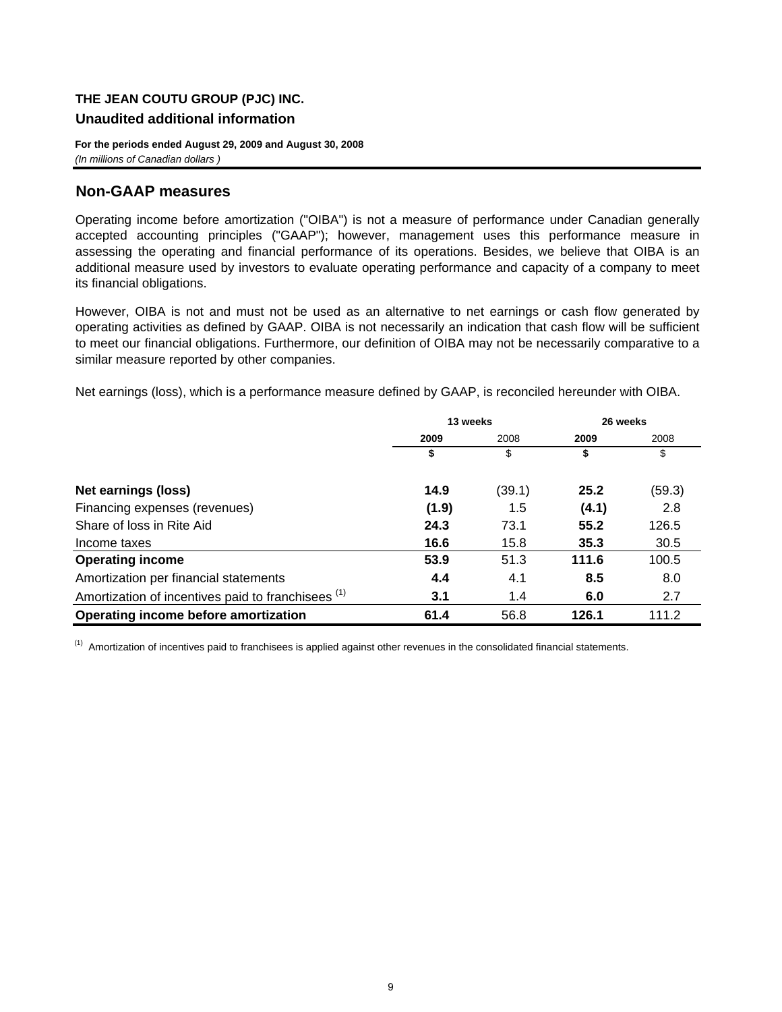## **Unaudited additional information**

**For the periods ended August 29, 2009 and August 30, 2008**  *(In millions of Canadian dollars )*

### **Non-GAAP measures**

Operating income before amortization ("OIBA") is not a measure of performance under Canadian generally accepted accounting principles ("GAAP"); however, management uses this performance measure in assessing the operating and financial performance of its operations. Besides, we believe that OIBA is an additional measure used by investors to evaluate operating performance and capacity of a company to meet its financial obligations.

However, OIBA is not and must not be used as an alternative to net earnings or cash flow generated by operating activities as defined by GAAP. OIBA is not necessarily an indication that cash flow will be sufficient to meet our financial obligations. Furthermore, our definition of OIBA may not be necessarily comparative to a similar measure reported by other companies.

Net earnings (loss), which is a performance measure defined by GAAP, is reconciled hereunder with OIBA.

|                                                               | 13 weeks |        | 26 weeks |        |
|---------------------------------------------------------------|----------|--------|----------|--------|
|                                                               | 2009     | 2008   | 2009     | 2008   |
|                                                               | S        | \$     |          | \$     |
| Net earnings (loss)                                           | 14.9     | (39.1) | 25.2     | (59.3) |
| Financing expenses (revenues)                                 | (1.9)    | 1.5    | (4.1)    | 2.8    |
| Share of loss in Rite Aid                                     | 24.3     | 73.1   | 55.2     | 126.5  |
| Income taxes                                                  | 16.6     | 15.8   | 35.3     | 30.5   |
| <b>Operating income</b>                                       | 53.9     | 51.3   | 111.6    | 100.5  |
| Amortization per financial statements                         | 4.4      | 4.1    | 8.5      | 8.0    |
| Amortization of incentives paid to franchisees <sup>(1)</sup> | 3.1      | 1.4    | 6.0      | 2.7    |
| Operating income before amortization                          | 61.4     | 56.8   | 126.1    | 111.2  |

 $(1)$  Amortization of incentives paid to franchisees is applied against other revenues in the consolidated financial statements.